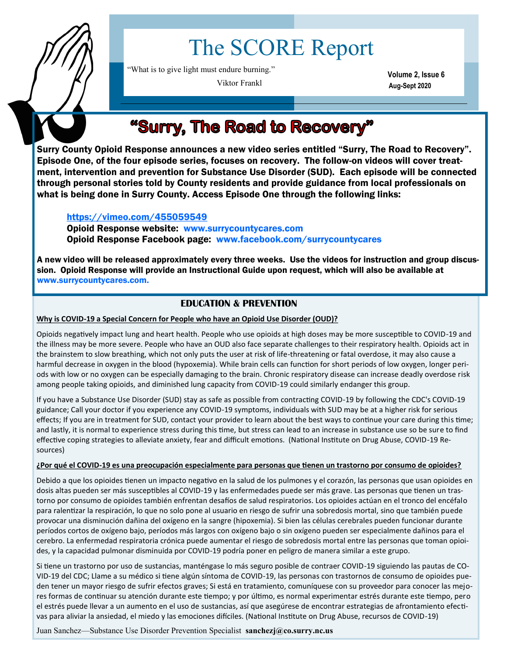

# The SCORE Report

"What is to give light must endure burning."

Viktor Frankl

**Volume 2, Issue 6 Aug-Sept 2020**

## "Surry, The Road to Recovery"

Surry County Opioid Response announces a new video series entitled "Surry, The Road to Recovery". Episode One, of the four episode series, focuses on recovery. The follow-on videos will cover treatment, intervention and prevention for Substance Use Disorder (SUD). Each episode will be connected through personal stories told by County residents and provide guidance from local professionals on what is being done in Surry County. Access Episode One through the following links:

#### [https://vimeo.com/455059549](https://linkprotect.cudasvc.com/url?a=https%3a%2f%2furldefense.proofpoint.com%2fv2%2furl%3fu%3dhttps-3A__linkprotect.cudasvc.com_url-3Fa-3Dhttps-253a-252f-252fvimeo.com-252f455059549-26c-3DE-2C1-2CNppvilGVsVV04mHF7iaJnvnlXuWs9YZHOvVBn9BySjRn0rT8dMFLKK8F9zwd-2)

Opioid Response website: www.surrycountycares.com Opioid Response Facebook page: www.facebook.com/surrycountycares

A new video will be released approximately every three weeks. Use the videos for instruction and group discussion. Opioid Response will provide an Instructional Guide upon request, which will also be available at www.surrycountycares.com.

### **EDUCATION & PREVENTION**

**Why is COVID-19 a Special Concern for People who have an Opioid Use Disorder (OUD)?**

Opioids negatively impact lung and heart health. People who use opioids at high doses may be more susceptible to COVID-19 and the illness may be more severe. People who have an OUD also face separate challenges to their respiratory health. Opioids act in the brainstem to slow breathing, which not only puts the user at risk of life-threatening or fatal overdose, it may also cause a harmful decrease in oxygen in the blood (hypoxemia). While brain cells can function for short periods of low oxygen, longer periods with low or no oxygen can be especially damaging to the brain. Chronic respiratory disease can increase deadly overdose risk among people taking opioids, and diminished lung capacity from COVID-19 could similarly endanger this group.

If you have a Substance Use Disorder (SUD) stay as safe as possible from contracting COVID-19 by following the CDC's COVID-19 guidance; Call your doctor if you experience any COVID-19 symptoms, individuals with SUD may be at a higher risk for serious effects; If you are in treatment for SUD, contact your provider to learn about the best ways to continue your care during this time; and lastly, it is normal to experience stress during this time, but stress can lead to an increase in substance use so be sure to find effective coping strategies to alleviate anxiety, fear and difficult emotions. (National Institute on Drug Abuse, COVID-19 Resources)

#### **¿Por qué el COVID-19 es una preocupación especialmente para personas que tienen un trastorno por consumo de opioides?**

Debido a que los opioides tienen un impacto negativo en la salud de los pulmones y el corazón, las personas que usan opioides en dosis altas pueden ser más susceptibles al COVID-19 y las enfermedades puede ser más grave. Las personas que tienen un trastorno por consumo de opioides también enfrentan desafíos de salud respiratorios. Los opioides actúan en el tronco del encéfalo para ralentizar la respiración, lo que no solo pone al usuario en riesgo de sufrir una sobredosis mortal, sino que también puede provocar una disminución dañina del oxígeno en la sangre (hipoxemia). Si bien las células cerebrales pueden funcionar durante períodos cortos de oxígeno bajo, períodos más largos con oxígeno bajo o sin oxígeno pueden ser especialmente dañinos para el cerebro. La enfermedad respiratoria crónica puede aumentar el riesgo de sobredosis mortal entre las personas que toman opioides, y la capacidad pulmonar disminuida por COVID-19 podría poner en peligro de manera similar a este grupo.

Si tiene un trastorno por uso de sustancias, manténgase lo más seguro posible de contraer COVID-19 siguiendo las pautas de CO-VID-19 del CDC; Llame a su médico si tiene algún síntoma de COVID-19, las personas con trastornos de consumo de opioides pueden tener un mayor riesgo de sufrir efectos graves; Si está en tratamiento, comuníquese con su proveedor para conocer las mejores formas de continuar su atención durante este tiempo; y por último, es normal experimentar estrés durante este tiempo, pero el estrés puede llevar a un aumento en el uso de sustancias, así que asegúrese de encontrar estrategias de afrontamiento efectivas para aliviar la ansiedad, el miedo y las emociones difíciles. (National Institute on Drug Abuse, recursos de COVID-19)

Juan Sanchez—Substance Use Disorder Prevention Specialist **sanchezj@co.surry.nc.us**